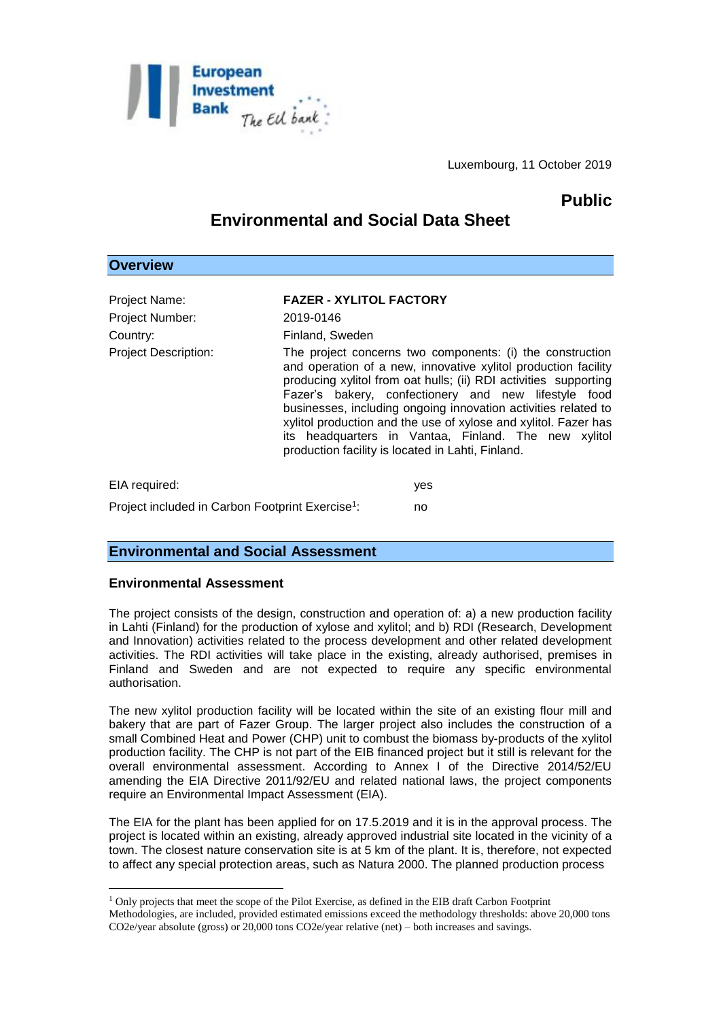

Luxembourg, 11 October 2019

# **Public**

## **Environmental and Social Data Sheet**

| O VGI VICW                                                   |                                                                                                                                                                                                                                                                                                                                                                                                                                                                                                           |
|--------------------------------------------------------------|-----------------------------------------------------------------------------------------------------------------------------------------------------------------------------------------------------------------------------------------------------------------------------------------------------------------------------------------------------------------------------------------------------------------------------------------------------------------------------------------------------------|
|                                                              |                                                                                                                                                                                                                                                                                                                                                                                                                                                                                                           |
| Project Name:                                                | <b>FAZER - XYLITOL FACTORY</b>                                                                                                                                                                                                                                                                                                                                                                                                                                                                            |
| Project Number:                                              | 2019-0146                                                                                                                                                                                                                                                                                                                                                                                                                                                                                                 |
| Country:                                                     | Finland, Sweden                                                                                                                                                                                                                                                                                                                                                                                                                                                                                           |
| <b>Project Description:</b>                                  | The project concerns two components: (i) the construction<br>and operation of a new, innovative xylitol production facility<br>producing xylitol from oat hulls; (ii) RDI activities supporting<br>Fazer's bakery, confectionery and new lifestyle food<br>businesses, including ongoing innovation activities related to<br>xylitol production and the use of xylose and xylitol. Fazer has<br>its headquarters in Vantaa, Finland. The new xylitol<br>production facility is located in Lahti, Finland. |
| EIA required:                                                | yes                                                                                                                                                                                                                                                                                                                                                                                                                                                                                                       |
| Project included in Carbon Footprint Exercise <sup>1</sup> : | no                                                                                                                                                                                                                                                                                                                                                                                                                                                                                                        |

### **Environmental and Social Assessment**

#### **Environmental Assessment**

1

**Overview**

The project consists of the design, construction and operation of: a) a new production facility in Lahti (Finland) for the production of xylose and xylitol; and b) RDI (Research, Development and Innovation) activities related to the process development and other related development activities. The RDI activities will take place in the existing, already authorised, premises in Finland and Sweden and are not expected to require any specific environmental authorisation.

The new xylitol production facility will be located within the site of an existing flour mill and bakery that are part of Fazer Group. The larger project also includes the construction of a small Combined Heat and Power (CHP) unit to combust the biomass by-products of the xylitol production facility. The CHP is not part of the EIB financed project but it still is relevant for the overall environmental assessment. According to Annex I of the Directive 2014/52/EU amending the EIA Directive 2011/92/EU and related national laws, the project components require an Environmental Impact Assessment (EIA).

The EIA for the plant has been applied for on 17.5.2019 and it is in the approval process. The project is located within an existing, already approved industrial site located in the vicinity of a town. The closest nature conservation site is at 5 km of the plant. It is, therefore, not expected to affect any special protection areas, such as Natura 2000. The planned production process

<sup>1</sup> Only projects that meet the scope of the Pilot Exercise, as defined in the EIB draft Carbon Footprint Methodologies, are included, provided estimated emissions exceed the methodology thresholds: above 20,000 tons

CO2e/year absolute (gross) or 20,000 tons CO2e/year relative (net) – both increases and savings.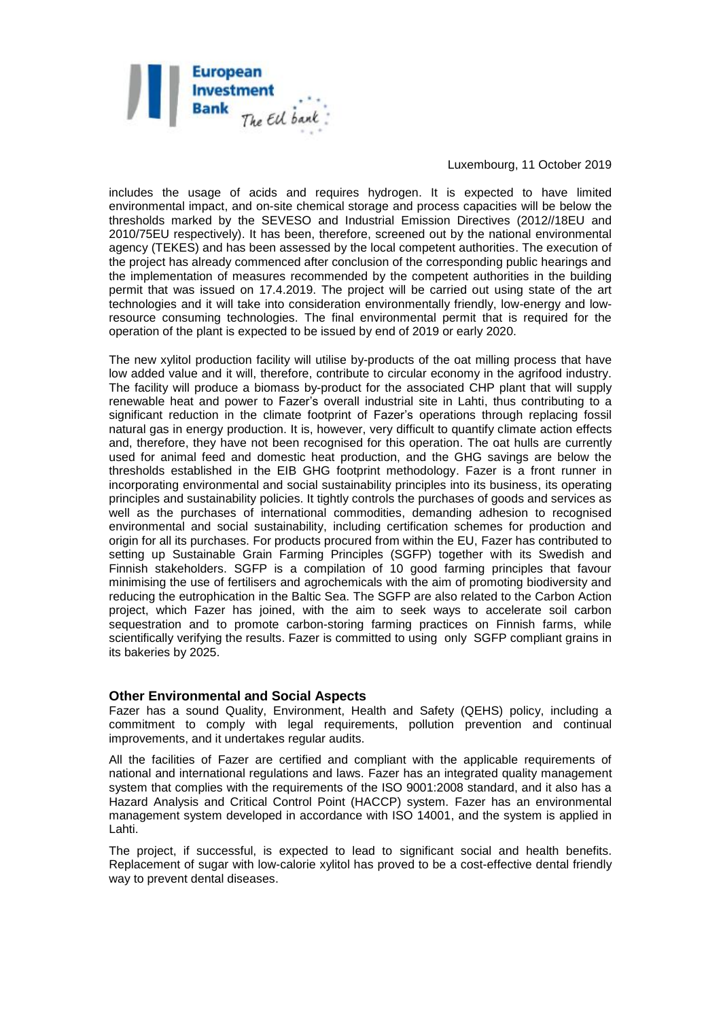

#### Luxembourg, 11 October 2019

includes the usage of acids and requires hydrogen. It is expected to have limited environmental impact, and on-site chemical storage and process capacities will be below the thresholds marked by the SEVESO and Industrial Emission Directives (2012//18EU and 2010/75EU respectively). It has been, therefore, screened out by the national environmental agency (TEKES) and has been assessed by the local competent authorities. The execution of the project has already commenced after conclusion of the corresponding public hearings and the implementation of measures recommended by the competent authorities in the building permit that was issued on 17.4.2019. The project will be carried out using state of the art technologies and it will take into consideration environmentally friendly, low-energy and lowresource consuming technologies. The final environmental permit that is required for the operation of the plant is expected to be issued by end of 2019 or early 2020.

The new xylitol production facility will utilise by-products of the oat milling process that have low added value and it will, therefore, contribute to circular economy in the agrifood industry. The facility will produce a biomass by-product for the associated CHP plant that will supply renewable heat and power to Fazer's overall industrial site in Lahti, thus contributing to a significant reduction in the climate footprint of Fazer's operations through replacing fossil natural gas in energy production. It is, however, very difficult to quantify climate action effects and, therefore, they have not been recognised for this operation. The oat hulls are currently used for animal feed and domestic heat production, and the GHG savings are below the thresholds established in the EIB GHG footprint methodology. Fazer is a front runner in incorporating environmental and social sustainability principles into its business, its operating principles and sustainability policies. It tightly controls the purchases of goods and services as well as the purchases of international commodities, demanding adhesion to recognised environmental and social sustainability, including certification schemes for production and origin for all its purchases. For products procured from within the EU, Fazer has contributed to setting up Sustainable Grain Farming Principles (SGFP) together with its Swedish and Finnish stakeholders. SGFP is a compilation of 10 good farming principles that favour minimising the use of fertilisers and agrochemicals with the aim of promoting biodiversity and reducing the eutrophication in the Baltic Sea. The SGFP are also related to the Carbon Action project, which Fazer has joined, with the aim to seek ways to accelerate soil carbon sequestration and to promote carbon-storing farming practices on Finnish farms, while scientifically verifying the results. Fazer is committed to using only SGFP compliant grains in its bakeries by 2025.

#### **Other Environmental and Social Aspects**

Fazer has a sound Quality, Environment, Health and Safety (QEHS) policy, including a commitment to comply with legal requirements, pollution prevention and continual improvements, and it undertakes regular audits.

All the facilities of Fazer are certified and compliant with the applicable requirements of national and international regulations and laws. Fazer has an integrated quality management system that complies with the requirements of the ISO 9001:2008 standard, and it also has a Hazard Analysis and Critical Control Point (HACCP) system. Fazer has an environmental management system developed in accordance with ISO 14001, and the system is applied in Lahti.

The project, if successful, is expected to lead to significant social and health benefits. Replacement of sugar with low-calorie xylitol has proved to be a cost-effective dental friendly way to prevent dental diseases.